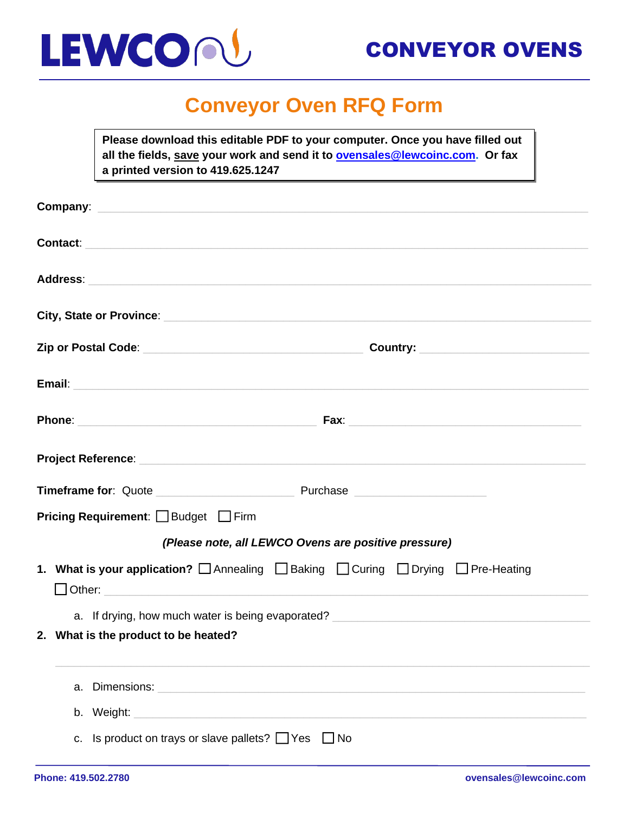

## **Conveyor Oven RFQ Form**

**Please download this editable PDF to your computer. Once you have filled out all the fields, save your work and send it to [ovensales@lewcoinc.com.](mailto:ovensales@lewcoinc.com) Or fax a printed version to 419.625.1247**

|                                                      | Company: <u>company:</u>                                                                                                                                                                                                       |  |  |  |
|------------------------------------------------------|--------------------------------------------------------------------------------------------------------------------------------------------------------------------------------------------------------------------------------|--|--|--|
|                                                      |                                                                                                                                                                                                                                |  |  |  |
|                                                      | Address: Address: Address: Address: Address: Address: Address: Address: Address: Address: Address: A                                                                                                                           |  |  |  |
|                                                      | City, State or Province: City, State or Province:                                                                                                                                                                              |  |  |  |
|                                                      |                                                                                                                                                                                                                                |  |  |  |
|                                                      | Email: North American Communication of the Communication of the Communication of the Communication of the Communication of the Communication of the Communication of the Communication of the Communication of the Communicati |  |  |  |
|                                                      |                                                                                                                                                                                                                                |  |  |  |
|                                                      |                                                                                                                                                                                                                                |  |  |  |
|                                                      |                                                                                                                                                                                                                                |  |  |  |
| <b>Pricing Requirement:</b> Budget Firm              |                                                                                                                                                                                                                                |  |  |  |
| (Please note, all LEWCO Ovens are positive pressure) |                                                                                                                                                                                                                                |  |  |  |
|                                                      | 1. What is your application?<br>□ Annealing<br>□ Baking<br>□ Curing  □ Drying  □ Pre-Heating<br>$\Box$ Other: $\Box$                                                                                                           |  |  |  |
|                                                      | a. If drying, how much water is being evaporated?                                                                                                                                                                              |  |  |  |
|                                                      | 2. What is the product to be heated?                                                                                                                                                                                           |  |  |  |
|                                                      | Dimensions: National Accounts and Accounts and Accounts and Accounts and Accounts and Accounts and Accounts and<br>a.                                                                                                          |  |  |  |
|                                                      |                                                                                                                                                                                                                                |  |  |  |
|                                                      | Is product on trays or slave pallets? $\Box$ Yes $\Box$ No<br>C.                                                                                                                                                               |  |  |  |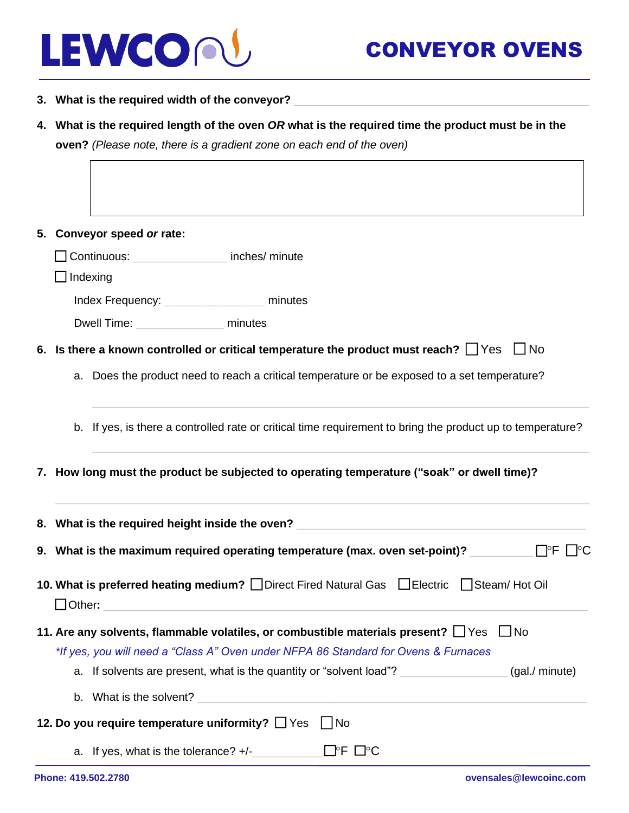

- **3. What is the required width of the conveyor?** \_\_\_\_\_\_\_\_\_\_\_\_\_\_\_\_\_\_\_\_\_\_\_\_\_\_\_\_\_\_\_\_\_\_\_\_\_\_\_\_\_\_\_\_\_\_\_
- **4. What is the required length of the oven** *OR* **what is the required time the product must be in the oven?** *(Please note, there is a gradient zone on each end of the oven)*
- **5. Conveyor speed** *or* **rate:**  ❑ Continuous: \_\_\_\_\_\_\_\_\_\_\_\_\_\_\_ inches/ minute ❑ Indexing Index Frequency: The minutes Dwell Time: **Example 1** minutes **6. Is there a known controlled or critical temperature the product must reach?** ❑ Yes ❑ No a. Does the product need to reach a critical temperature or be exposed to a set temperature? b. If yes, is there a controlled rate or critical time requirement to bring the product up to temperature? **7. How long must the product be subjected to operating temperature ("soak" or dwell time)? 8. What is the required height inside the oven?** \_\_\_\_\_\_\_\_\_\_\_\_\_\_\_\_\_\_\_\_\_\_\_\_\_\_\_\_\_\_\_\_\_\_\_\_\_\_\_\_\_\_\_\_\_\_ **9. What is the maximum required operating temperature (max. oven set-point)?** \_\_\_\_\_\_\_\_\_\_ ❑F ❑C **10. What is preferred heating medium?** ❑ Direct Fired Natural Gas❑ Electric ❑ Steam/ Hot Oil ❑ Other**:** \_\_\_\_\_\_\_\_\_\_\_\_\_\_\_\_\_\_\_\_\_\_\_\_\_\_\_\_\_\_\_\_\_\_\_\_\_\_\_\_\_\_\_\_\_\_\_\_\_\_\_\_\_\_\_\_\_\_\_\_\_\_\_\_\_\_\_\_\_\_\_\_\_\_\_\_\_ **11. Are any solvents, flammable volatiles, or combustible materials present?** ❑ Yes ❑ No *\*If yes, you will need a "Class A" Oven under NFPA 86 Standard for Ovens & Furnaces* a. If solvents are present, what is the quantity or "solvent load"? \_\_\_\_\_\_\_\_\_\_\_\_\_\_\_\_\_\_\_(gal./ minute) b. What is the solvent? **12. Do you require temperature uniformity?** □ Yes □ No a. If yes, what is the tolerance?  $+/ \Box$ <sup>P</sup>F  $\Box$ <sup>o</sup>C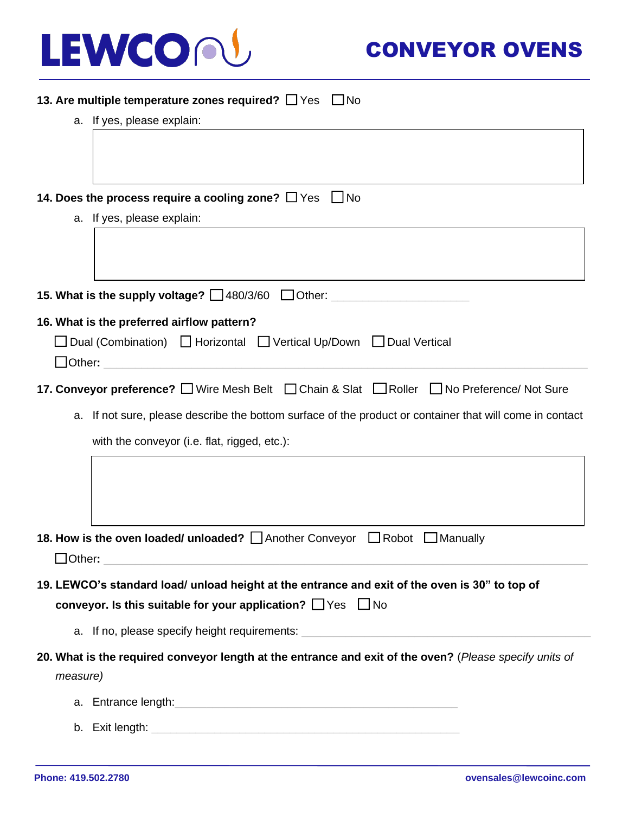

| 13. Are multiple temperature zones required? □ Yes □ No                                                        |
|----------------------------------------------------------------------------------------------------------------|
| a. If yes, please explain:                                                                                     |
|                                                                                                                |
|                                                                                                                |
|                                                                                                                |
| 14. Does the process require a cooling zone? $\Box$ Yes<br>  No                                                |
| a. If yes, please explain:                                                                                     |
|                                                                                                                |
|                                                                                                                |
| 15. What is the supply voltage? $\Box$ 480/3/60 $\Box$ Other:                                                  |
| 16. What is the preferred airflow pattern?                                                                     |
| Dual (Combination) C Horizontal C Vertical Up/Down C Dual Vertical                                             |
| $\Box$ Other:                                                                                                  |
| 17. Conveyor preference? Wire Mesh Belt C Chain & Slat Roller No Preference/ Not Sure                          |
| a. If not sure, please describe the bottom surface of the product or container that will come in contact       |
| with the conveyor (i.e. flat, rigged, etc.):                                                                   |
|                                                                                                                |
|                                                                                                                |
|                                                                                                                |
|                                                                                                                |
| 18. How is the oven loaded/ unloaded?   Another Conveyor   Robot   Manually                                    |
| $J$ Other:                                                                                                     |
| 19. LEWCO's standard load/ unload height at the entrance and exit of the oven is 30" to top of                 |
| conveyor. Is this suitable for your application? $\Box$ Yes $\Box$ No                                          |
| a. If no, please specify height requirements: __________________________________                               |
| 20. What is the required conveyor length at the entrance and exit of the oven? (Please specify units of        |
| measure)                                                                                                       |
| a. Entrance length: example and a series of the series of the series of the series of the series of the series |
|                                                                                                                |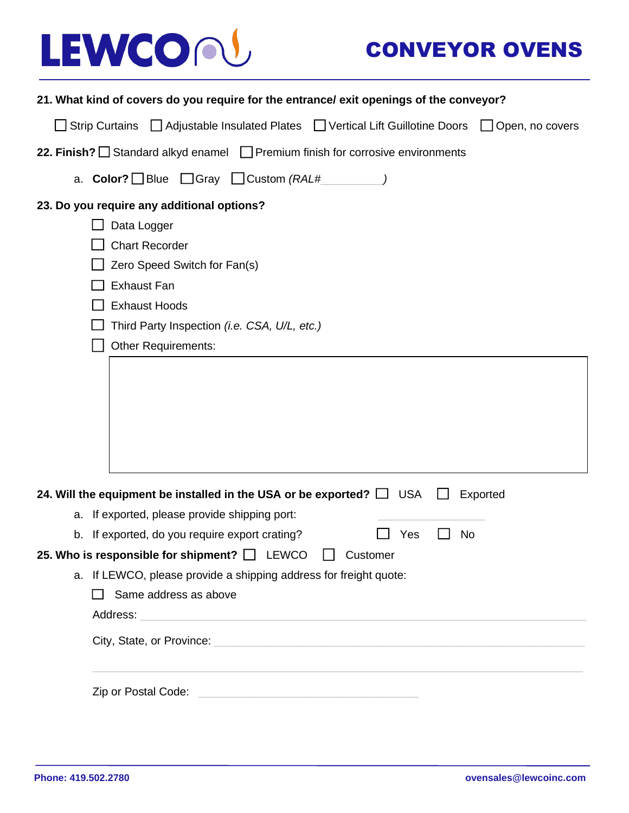## LEWCON

## CONVEYOR OVENS

|                                                                                           | 21. What kind of covers do you require for the entrance/ exit openings of the conveyor?                                                                                                                                                                                                              |  |  |  |  |  |
|-------------------------------------------------------------------------------------------|------------------------------------------------------------------------------------------------------------------------------------------------------------------------------------------------------------------------------------------------------------------------------------------------------|--|--|--|--|--|
|                                                                                           | Adjustable Insulated Plates   Vertical Lift Guillotine Doors   Open, no covers<br>$\Box$ Strip Curtains                                                                                                                                                                                              |  |  |  |  |  |
| 22. Finish? $\Box$ Standard alkyd enamel $\Box$ Premium finish for corrosive environments |                                                                                                                                                                                                                                                                                                      |  |  |  |  |  |
|                                                                                           | a. Color? Blue $\Box$ Gray $\Box$ Custom (RAL#                                                                                                                                                                                                                                                       |  |  |  |  |  |
|                                                                                           | 23. Do you require any additional options?                                                                                                                                                                                                                                                           |  |  |  |  |  |
|                                                                                           | Data Logger                                                                                                                                                                                                                                                                                          |  |  |  |  |  |
|                                                                                           | <b>Chart Recorder</b>                                                                                                                                                                                                                                                                                |  |  |  |  |  |
|                                                                                           | Zero Speed Switch for Fan(s)                                                                                                                                                                                                                                                                         |  |  |  |  |  |
|                                                                                           | <b>Exhaust Fan</b>                                                                                                                                                                                                                                                                                   |  |  |  |  |  |
|                                                                                           | <b>Exhaust Hoods</b>                                                                                                                                                                                                                                                                                 |  |  |  |  |  |
|                                                                                           | Third Party Inspection (i.e. CSA, U/L, etc.)                                                                                                                                                                                                                                                         |  |  |  |  |  |
|                                                                                           | <b>Other Requirements:</b>                                                                                                                                                                                                                                                                           |  |  |  |  |  |
|                                                                                           |                                                                                                                                                                                                                                                                                                      |  |  |  |  |  |
|                                                                                           |                                                                                                                                                                                                                                                                                                      |  |  |  |  |  |
|                                                                                           |                                                                                                                                                                                                                                                                                                      |  |  |  |  |  |
|                                                                                           |                                                                                                                                                                                                                                                                                                      |  |  |  |  |  |
|                                                                                           |                                                                                                                                                                                                                                                                                                      |  |  |  |  |  |
|                                                                                           |                                                                                                                                                                                                                                                                                                      |  |  |  |  |  |
|                                                                                           | 24. Will the equipment be installed in the USA or be exported? $\Box$ USA<br>Exported                                                                                                                                                                                                                |  |  |  |  |  |
|                                                                                           | a. If exported, please provide shipping port:                                                                                                                                                                                                                                                        |  |  |  |  |  |
|                                                                                           | Yes<br>No<br>b. If exported, do you require export crating?                                                                                                                                                                                                                                          |  |  |  |  |  |
|                                                                                           | 25. Who is responsible for shipment? $\Box$ LEWCO $\Box$ Customer                                                                                                                                                                                                                                    |  |  |  |  |  |
|                                                                                           | a. If LEWCO, please provide a shipping address for freight quote:                                                                                                                                                                                                                                    |  |  |  |  |  |
|                                                                                           | Same address as above                                                                                                                                                                                                                                                                                |  |  |  |  |  |
|                                                                                           |                                                                                                                                                                                                                                                                                                      |  |  |  |  |  |
|                                                                                           |                                                                                                                                                                                                                                                                                                      |  |  |  |  |  |
|                                                                                           | <u> 1989 - Andrea Santana, Amerikaansk politik (d. 1989)</u><br>Zip or Postal Code: <u>contract and contract and contract and contract and contract and contract and contract and contract and contract and contract and contract and contract and contract and contract and contract and contra</u> |  |  |  |  |  |
|                                                                                           |                                                                                                                                                                                                                                                                                                      |  |  |  |  |  |